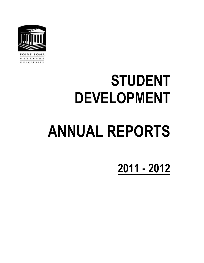

NAZARENE UNIVERSITY

# **STUDENT DEVELOPMENT**

# **ANNUAL REPORTS**

**2011 - 2012**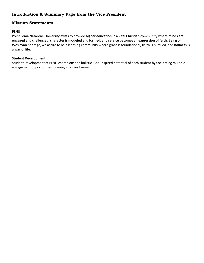# **Introduction & Summary Page from the Vice President**

# **Mission Statements**

#### **PLNU**

Point Loma Nazarene University exists to provide **higher education** in a **vital Christian** community where **minds are engaged** and challenged, **character is modeled** and formed, and **service** becomes an **expression of faith**. Being of **Wesleyan** heritage, we aspire to be a learning community where grace is foundational, **truth** is pursued, and **holiness** is a way of life.

#### **Student Development**

Student Development at PLNU champions the holistic, God-inspired potential of each student by facilitating multiple engagement opportunities to learn, grow and serve.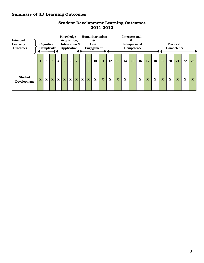# **Summary of SD Learning Outcomes**

| <b>Intended</b><br><b>Learning</b><br><b>Outcomes</b> |              | Cognitive<br>Complexity |             |                         | <b>Humanitarianism</b><br>Knowledge<br>Acquisition,<br>&<br><b>Civic</b><br>Integration &<br><b>Application</b><br><b>Engagement</b> |             |                |             |   |             |           |    |    | <b>Interpersonal</b><br>&<br><b>Practical</b><br><b>Intrapersonal</b><br>Competence<br>Competence |    |    |             |    |                         |             |                         |    |             |
|-------------------------------------------------------|--------------|-------------------------|-------------|-------------------------|--------------------------------------------------------------------------------------------------------------------------------------|-------------|----------------|-------------|---|-------------|-----------|----|----|---------------------------------------------------------------------------------------------------|----|----|-------------|----|-------------------------|-------------|-------------------------|----|-------------|
|                                                       | 1            | $\boldsymbol{2}$        | 3           | $\overline{\mathbf{4}}$ | 5                                                                                                                                    | 6           | $\overline{7}$ | 8           | 9 | <b>10</b>   | <b>11</b> | 12 | 13 | 14                                                                                                | 15 | 16 | 17          | 18 | 19                      | 20          | 21                      | 22 | 23          |
| <b>Student</b><br><b>Development</b>                  | $\mathbf{X}$ | $\mathbf X$             | $\mathbf X$ | $\mathbf X$             | $\mathbf X$                                                                                                                          | $\mathbf X$ | $\mathbf X$    | $\mathbf X$ | X | $\mathbf X$ | X         | X  | X  | $\mathbf{X}$                                                                                      |    | X  | $\mathbf X$ | X  | $\overline{\mathbf{X}}$ | $\mathbf X$ | $\overline{\mathbf{X}}$ | X  | $\mathbf X$ |

# **Student Development Learning Outcomes 2011-2012**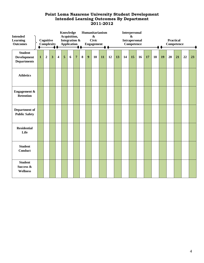# **Point Loma Nazarene University Student Development Intended Learning Outcomes By Department 2011-2012**

| <b>Intended</b><br>Learning<br><b>Outcomes</b>             | Cognitive<br>Complexity |                |                         |                         |                | <b>Knowledge</b><br>Acquisition,<br>Integration &<br>Application |                |          | Humanitarianism<br>$\boldsymbol{\&}$<br><b>Civic</b><br><b>Engagement</b> |    |    |    |    |    | <b>Interpersonal</b><br>$\boldsymbol{\&}$<br><b>Intrapersonal</b><br>Competence |    |    |    |    | <b>Practical</b><br>Competence |    |    |    |
|------------------------------------------------------------|-------------------------|----------------|-------------------------|-------------------------|----------------|------------------------------------------------------------------|----------------|----------|---------------------------------------------------------------------------|----|----|----|----|----|---------------------------------------------------------------------------------|----|----|----|----|--------------------------------|----|----|----|
| <b>Student</b><br><b>Development</b><br><b>Departments</b> | $\mathbf{1}$            | $\overline{2}$ | $\overline{\mathbf{3}}$ | $\overline{\mathbf{4}}$ | $\overline{5}$ | 6                                                                | $\overline{7}$ | $\bf{8}$ | 9                                                                         | 10 | 11 | 12 | 13 | 14 | 15                                                                              | 16 | 17 | 18 | 19 | 20                             | 21 | 22 | 23 |
| <b>Athletics</b>                                           |                         |                |                         |                         |                |                                                                  |                |          |                                                                           |    |    |    |    |    |                                                                                 |    |    |    |    |                                |    |    |    |
| <b>Engagement &amp;</b><br><b>Retention</b>                |                         |                |                         |                         |                |                                                                  |                |          |                                                                           |    |    |    |    |    |                                                                                 |    |    |    |    |                                |    |    |    |
| Department of<br><b>Public Safety</b>                      |                         |                |                         |                         |                |                                                                  |                |          |                                                                           |    |    |    |    |    |                                                                                 |    |    |    |    |                                |    |    |    |
| <b>Residential</b><br>Life                                 |                         |                |                         |                         |                |                                                                  |                |          |                                                                           |    |    |    |    |    |                                                                                 |    |    |    |    |                                |    |    |    |
| <b>Student</b><br><b>Conduct</b>                           |                         |                |                         |                         |                |                                                                  |                |          |                                                                           |    |    |    |    |    |                                                                                 |    |    |    |    |                                |    |    |    |
| <b>Student</b><br>Success &<br>Wellness                    |                         |                |                         |                         |                |                                                                  |                |          |                                                                           |    |    |    |    |    |                                                                                 |    |    |    |    |                                |    |    |    |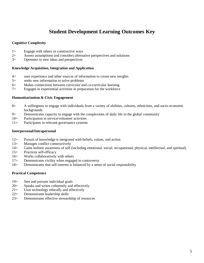# **Student Development Learning Outcomes Key**

#### **Cognitive Complexity**

- 1= Engage with others in constructive ways
- 2= Assess assumptions and considers alternative perspectives and solutions
- 3= Openness to new ideas and perspectives

#### **Knowledge Acquisition, Integration and Application**

- 4= uses experience and other sources of information to create new insights
- 5= seeks new information to solve problems
- 6= Makes connections between curricular and co-curricular learning
- 7= Engages in experiential activities in preparation for the workforce

#### **Humanitarianism & Civic Engagement**

- 8= A willingness to engage with individuals from a variety of abilities, cultures, ethnicities, and socio-economic backgrounds
- 9= Demonstrates capacity to engage with the complexities of daily life in the global community
- 10= Participation in service/volunteer activities
- 11= Participates in relevant governance systems

#### **Interpersonal/Intrapersonal**

- 12= Pursuit of knowledge is integrated with beliefs, values, and action
- 13= Manages conflict constructively
- 14= Gains holistic awareness of self (including emotional, social, occupational, physical, intellectual, and spiritual)
- 15= Practices self-efficacy
- 16= Works collaboratively with others
- 17= Demonstrates civility when engaged in controversy
- 18= Demonstrates that self-interest is balanced by a sense of social responsibility

#### **Practical Competence**

- 19= Sets and pursues individual goals
- 20= Speaks and writes coherently and effectively
- 21= Uses technology ethically and effectively
- 22= Demonstrates leadership skills
- 23= Demonstrates effective stewardship of resources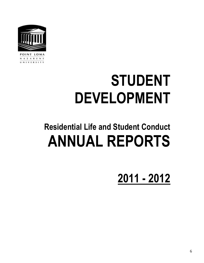

# **STUDENT DEVELOPMENT**

# **Residential Life and Student Conduct ANNUAL REPORTS**

**2011 - 2012**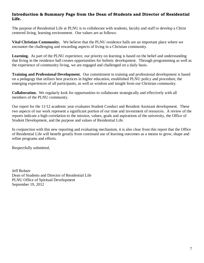# **Introduction & Summary Page from the Dean of Students and Director of Residential Life.**

The purpose of Residential Life at PLNU is to collaborate with students, faculty and staff to develop a Christ centered living, learning environment. Our values are as follows:

**Vital Christian Community.** We believe that the PLNU residence halls are an important place where we encounter the challenging and rewarding aspects of living in a Christian community.

Learning. As part of the PLNU experience, our priority on learning is based on the belief and understanding that living in the residence hall creates opportunities for holistic development. Through programming as well as the experience of community living, we are engaged and challenged on a daily basis.

**Training and Professional Development.** Our commitment to training and professional development is based on a pedagogy that utilizes best practices in higher education, established PLNU policy and procedure, the emerging experiences of all participants, as well as wisdom and insight from our Christian community.

**Collaboration.** We regularly look for opportunities to collaborate strategically and effectively with all members of the PLNU community.

Our report for the 11/12 academic year evaluates Student Conduct and Resident Assistant development. These two aspects of our work represent a significant portion of our time and investment of resources. A review of the reports indicate a high correlation to the mission, values, goals and aspirations of the university, the Office of Student Development, and the purpose and values of Residential Life.

In conjunction with this new reporting and evaluating mechanism, it is also clear from this report that the Office of Residential Life will benefit greatly from continued use of learning outcomes as a means to grow, shape and refine programs and efforts.

Respectfully submitted,

Jeff Bolster Dean of Students and Director of Residential Life PLNU Office of Spiritual Development September 19, 2012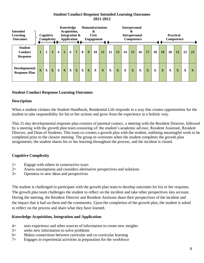# **Student Conduct Response Intended Learning Outcomes 2011-2012**

| <b>Intended</b><br><b>Learning</b><br><b>Outcomes</b> |   | Cognitive    | Complexity |              | Knowledge<br>Acquisition,<br>Integration &<br><b>Application</b> |              |                |   |   | Humanitarianism<br>&<br><b>Civic</b><br><b>Engagement</b> |    |    | <b>Interpersonal</b><br>x<br><b>Practical</b><br><b>Intrapersonal</b><br>Competence<br>Competence |    |    |    |             |    |    |    |                         |             |                         |
|-------------------------------------------------------|---|--------------|------------|--------------|------------------------------------------------------------------|--------------|----------------|---|---|-----------------------------------------------------------|----|----|---------------------------------------------------------------------------------------------------|----|----|----|-------------|----|----|----|-------------------------|-------------|-------------------------|
| <b>Student</b><br>Conduct<br><b>Response</b>          |   | $\mathbf{2}$ | 3          | 4            | 5                                                                | 6            | $\overline{7}$ | 8 | 9 | 10                                                        | 11 | 12 | 13                                                                                                | 14 | 15 | 16 | 17          | 18 | 19 | 20 | 21                      | 22          | 23                      |
| Developmental<br><b>Response Plan</b>                 | X | X            | X          | $\mathbf{X}$ | $\mathbf X$                                                      | $\mathbf{X}$ | $\mathbf X$    | X | X | X                                                         | X  | X  | X                                                                                                 | X  | X  | X  | $\mathbf X$ | X  | X  | X  | $\overline{\mathbf{X}}$ | $\mathbf X$ | $\overline{\mathbf{X}}$ |

# **Student Conduct Response Learning Outcomes**

# **Description**

When a student violates the Student Handbook, Residential Life responds in a way that creates opportunities for the student to take responsibility for his or her actions and grow from the experience in a holistic way.

This 21-day developmental response plan consists of parental contact, a meeting with the Resident Director, followed by a meeting with the growth plan team consisting of: the student's academic advisor, Resident Assistant, Resident Director, and Dean of Students. This team co-creates a growth plan with the student, outlining meaningful work to be completed prior to the closure meeting. The group re-convenes when the student completes the growth plan assignments; the student shares his or her learning throughout the process, and the incident is closed.

# **Cognitive Complexity**

- 1= Engage with others in constructive ways
- 2= Assess assumptions and considers alternative perspectives and solutions
- 3= Openness to new ideas and perspectives

The student is challenged to participate with the growth plan team to develop outcomes for his or her response. The growth plan team challenges the student to reflect on the incident and take other perspectives into account. During the meeting, the Resident Director and Resident Assistant share their perspectives of the incident and the impact that it had on them and the community. Upon the completion of the growth plan, the student is asked to reflect on the process and share what they have learned.

# **Knowledge Acquisition, Integration and Application**

- 4= uses experience and other sources of information to create new insights
- 5= seeks new information to solve problems
- 6= Makes connections between curricular and co-curricular learning
- 7= Engages in experiential activities in preparation for the workforce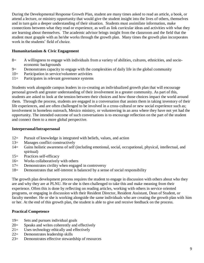During the Developmental Response Growth Plan, student are many times asked to read an article, a book, or attend a lecture, or ministry opportunity that would give the student insight into the lives of others, themselves and in turn gain a deeper understanding of their situation. Students must assimilate information, make connections between what they read or experience, as well as link curricular ideas and activities with what they are learning about themselves. The academic advisor brings insight from the classroom and the field that the student must grapple with as he/she works through the growth plan. Many times the growth plan incorporates work in the students' field of choice.

# **Humanitarianism & Civic Engagement**

- 8= A willingness to engage with individuals from a variety of abilities, cultures, ethnicities, and socioeconomic backgrounds
- 9= Demonstrates capacity to engage with the complexities of daily life in the global community
- 10= Participation in service/volunteer activities
- 11= Participates in relevant governance systems

Students work alongside campus leaders in co-creating an individualized growth plan that will encourage personal growth and greater understanding of their involvement in a greater community. As part of this, students are asked to look at the tension between their choices and how those choices impact the world around them. Through the process, students are engaged in a conversation that assists them in taking inventory of their life experiences, and are often challenged to be involved in a cross-cultural or new social experience such as; involvement in homeless outreach, Mexico ministry, or volunteering in an area where they have not yet had the opportunity. The intended outcome of such conversations is to encourage reflection on the part of the student and connect them to a more global perspective.

#### **Interpersonal/Intrapersonal**

- 12= Pursuit of knowledge is integrated with beliefs, values, and action
- 13= Manages conflict constructively
- 14= Gains holistic awareness of self (including emotional, social, occupational, physical, intellectual, and spiritual)
- 15= Practices self-efficacy
- 16= Works collaboratively with others
- 17= Demonstrates civility when engaged in controversy
- 18= Demonstrates that self-interest is balanced by a sense of social responsibility

The growth plan development process requires the student to engage in discussion with others about who they are and why they are at PLNU. He or she is then challenged to take this and make meaning from their experience. Often this is done by reflecting on reading articles, working with others in service oriented programs, or engaging in discussion with their Resident Director, Resident Assistant, Dean of Student, or faculty member. He or she is working alongside the same individuals who are creating the growth plan with him or her. At the end of this growth plan, the student is able to give and receive feedback on the process.

# **Practical Competence**

- 19= Sets and pursues individual goals
- 20= Speaks and writes coherently and effectively
- 21= Uses technology ethically and effectively
- 22= Demonstrates leadership skills
- 23= Demonstrates effective stewardship of resources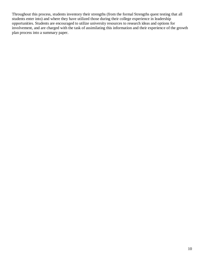Throughout this process, students inventory their strengths (from the formal Strengths quest testing that all students enter into) and where they have utilized those during their college experience in leadership opportunities. Students are encouraged to utilize university resources to research ideas and options for involvement, and are charged with the task of assimilating this information and their experience of the growth plan process into a summary paper.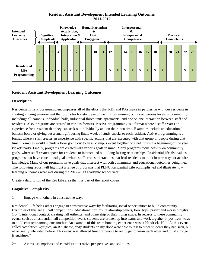# **Resident Assistant Development Intended Learning Outcomes 2011-2012**

| <b>Intended</b><br><b>Learning</b><br><b>Outcomes</b> |             | Cognitive      | Complexity |                         | Knowledge<br>Acquisition,<br>Integration &<br><b>Application</b> |              |                |   |   | Humanitarianism<br>&<br><b>Civic</b><br><b>Engagement</b> |    |             | <b>Interpersonal</b><br>&<br><b>Practical</b><br><b>Intrapersonal</b><br>Competence<br>Competence |             |             |           |           |             |             |    |           |    |             |
|-------------------------------------------------------|-------------|----------------|------------|-------------------------|------------------------------------------------------------------|--------------|----------------|---|---|-----------------------------------------------------------|----|-------------|---------------------------------------------------------------------------------------------------|-------------|-------------|-----------|-----------|-------------|-------------|----|-----------|----|-------------|
|                                                       |             | $\overline{2}$ | 3          | $\overline{\mathbf{4}}$ | 5                                                                | 6            | $\overline{7}$ | 8 | 9 | 10                                                        | 11 | 12          | 13                                                                                                | 14          | 15          | <b>16</b> | <b>17</b> | 18          | 19          | 20 | <b>21</b> | 22 | 23          |
| <b>Residential</b><br>Life<br>Programming             | $\mathbf X$ | X              | X          | $\mathbf X$             | $\mathbf X$                                                      | $\mathbf{X}$ | $\mathbf X$    | X |   |                                                           |    | $\mathbf X$ | X                                                                                                 | $\mathbf X$ | $\mathbf X$ | X         | X         | $\mathbf X$ | $\mathbf X$ |    |           | X  | $\mathbf X$ |

# **Resident Assistant Development Learning Outcomes**

# **Description**

Residential Life Programming encompasses all of the efforts that RDs and RAs make in partnering with our residents in creating a living environment that promotes holistic development. Programming occurs on various levels of community, including: all-campus, individual halls, individual floors/units/apartments, and one on one interaction between staff and residents. Also, programs are created in various formats. Passive programming is a format where a staff creates an experience for a resident that they can seek out individually and on their own time. Examples include an educational bulletin board or giving out a small gift during finals week of study snacks to each resident. Active programming is a format where a staff creates an experience with specific actions that are executed with that group of people during that time. Examples would include a floor going out to an all-campus event together or a hall hosting a beginning of the year kickoff party. Finally, programs are created with various goals in mind. Many programs focus heavily on community goals, where staff creates space for residents to interact and build long-lasting relationships. Residential life also values programs that have educational goals, where staff creates interactions that lead residents to think in new ways or acquire knowledge. Many of our programs have goals that intersect with both community and educational outcomes being met. The following report will highlight a range of programs that PLNU Residential Life accomplished and illustrate how learning outcomes were met during the 2012-2013 academic school year.

Create a description of the Res Life area that this part of the report covers.

# **Cognitive Complexity**

1= Engage with others in constructive ways

Residential Life helps others engage in constructive ways by facilitating social opportunities to build community. Examples of this are all hall competitions, educational forums, relationship panels, floor trips, prayer and worship nights, 1 on 1 intentional contact, creating hall esthetics, and ownership of their living space. In regards to these community events such as a residential hall competition event, students are broken up into teams and work together in positives ways to build character among one another. An example of this team bonding experience was at Hendricks Hall. At this event called *Hendricks Olympics*, an RA shared, "My students on my floor were able to talk to other students they had seen, but never really interested before. This event was allowed time for people to really get to know each other and build stronger friendships."

2= Assess assumptions and considers alternative perspectives and solutions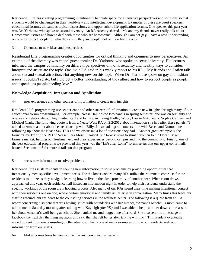Residential Life has creating programming intentionally to create space for alternative perspectives and solutions so that students would be challenged in their worldview and intellectual development. Examples of these are guest speakers, educational forums, all campus topical discussions, and upper cohort life application forums. One speaker this past year was Dr. Yarhouse who spoke on sexual diversity. An RA recently shared, "Me and my friends never really talk about Homosexual issues and how to deal with those who are homosexual. Although I am not gay, I have a new understanding on how to respect people for who they are… they are people, not on their life choices."

3= Openness to new ideas and perspectives

Residential Life programming creates opportunities for critical thinking and openness to new perspectives. An example of the diversity was chapel guest speaker Dr. Yarhouse who spoke on sexual diversity. His lectures informed the campus community on different perspectives on homosexuality and healthy ways to consider, interpret and articulate the topic. One male RA said in his weekly report to his RD, "My friends and I often talk about sex and sexual attraction. Not anything new on this topic. When Dr. Yarhouse spoke on gay and lesbian issues, I couldn't relate, but I did get a better understanding of the culture and how to respect people as people and especial as people needing love."

# **Knowledge Acquisition, Integration and Application**

4= uses experience and other sources of information to create new insights

Residential life programming uses experience and other sources of information to create new insights through many of our educational forum programming. For example, Nease Hall hosted two panels in spring semester; one was on sexuality and one was on relationships. They invited staff and faculty, including Hadley Wood, Laurie Mikolaycik, Sophie Callhan, and Michael Clark. The following quote is from a Nease West RA on 2/2/2012 about interaction she had after these panels, "I talked to Amanda a lot about her relationship with Billy. I also had a great conversation with Becca and Domonique following up about the Nease Sex Talk and we discussed a lot of questions they had." Another great example is the farmer's market trip the RD of Nease, Sara Morrill, hosted. She took several freshman women to the Ocean Beach farmers market, helping our freshman expand their experiences beyond campus and into the community. Finally, one of the best educational programs we provided this year was the "Life after Loma" forum series that our upper cohort halls hosted. See domain 6 for more details on that program.

#### 5= seeks new information to solve problems

Residential life assists residents in seeking new information to solve problems by providing opportunities that intentionally meet specific development needs. For the lower cohort, many RDs utilize the roommate contracts for the residents to utilize as they navigate learning how to live in the close proximity of another peer. When room draws approached this year, each residence hall hosted an information night in order to help their residents understand the specific workings of the room draw housing process. Also many of our RAs spend their time making intentional contact with their residents one on one, where certain emotional and family issues arise in conversation. Many times this leads our staff to resource our residents to the counseling services in the wellness center. The following is a quote from an RA report concerning a student that was having issues with boundaries with her mother, "Amanda Mitchell's mom came to talk to me on Saturday morning after talking with Kayleigh *(the RD)* and I was able to help calm her down and reassure her about Amanda's well-being at school. She thanked me and hugged me afterward. She also sent me a message on facebook the next day thanking me again and said that she felt better after talking with me." This resident eventually ended up seeking more counseling on the situation. This is one of many examples of how our residents seek our information from our staffs.

6= Makes connections between curricular and co-curricular learning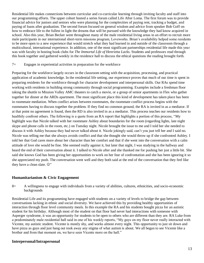Residential life makes connections between curricular and co-curricular learning through inviting faculty and staff into our programming efforts. The upper cohort hosted a series forum called Life After Loma. The first forum was to provide financial advice for juniors and seniors who were planning for the complexities of paying rent, tracking a budget, and paying of loans after graduation. The second forum focused on general wisdom and advice from speaker Bob Goff on how to embrace life to the fullest in light the dreams that will be pursued with the knowledge they had know acquired in school. Also this year, Brian Becker went throughout many of the male residential living areas in an effort to recruit more male participants in our international short-term missions program, Loveworks. Brian's availability helped some residents to be more open to a new experience that would stretch what they had learned in and outside of the classroom through a multicultural, international experience. In addition, one of the most significant partnerships residential life made this year was with faculty in hosting book clubs for *The Immortal Life of Henrietta Lacks*. Students and professors read through this book together and gathered weekly in the residence hall to discuss the ethical questions the reading brought forth.

#### 7= Engages in experiential activities in preparation for the workforce

Preparing for the workforce largely occurs in the classroom setting with the acquisition, processing, and practical application of academic knowledge. In the residential life setting, our experience proves that much of our time is spent in preparing residents for the workforce through for character development and interpersonal skills. Our RAs spend time working with residents in building strong community through social programming. Examples include a freshman floor taking the shuttle to Mission Valley AMC theaters to catch a movie, or a group of senior apartments in Flex who gather together for dinner at the ARDs apartment. The most significant place this kind of development has taken place has been in roommate mediation. When conflict arises between roommates, the roommate conflict process begins with the roommates having to discuss together the problem. If they find no common ground, the RA is invited in as a mediator. If at that point no agreement is found, then the RD is also invited in as a mediator. This process teaches our residents how to healthily confront others. The following is a quote from an RA report that highlights a portion of this process, "My highlight was that Nicole talked with her roommate Ashley about boundaries for the room (regarding lights, late night skype and phone calls in the room, etc.) on Tuesday night. Nicole brought the issue to me and I told her she needed to discuss it with Ashley because they had never talked about it. Nicole jokingly said, can't you just tell her and I said no. Nicole was telling me that she always avoids conflict and that she thought she would throw up if she confronted Ashley. I told her that God cares more about her character than her comfort and that if she went into the conversation with a calm attitude of love she would be fine. She seemed really against it, but later that night, I was studying in the hallway and heard the end of their conversation about it. I talked to Nicole after and she thanked me for pushing her just a little bit. She said she knows God has been giving her opportunities to work on her fear of confrontation and she has been ignoring it so she appreciated my push. The conversation went well and they both said at the end of the conversation that they feel like they have a clean slate.  $\mathbb{O}$ "

#### **Humanitarianism & Civic Engagement**

8= A willingness to engage with individuals from a variety of abilities, cultures, ethnicities, and socio-economic backgrounds

Residential Life and its programming have engaged with students on a variety of levels to bridge the gap between conversations lacking in ethnic and social diversity. We have achieved this by providing healthy opportunities of interaction through floor level community meals. In this example the RA and his students bought pizza for an autistic student for his birthday. Although most of the student on that floor had never had interactions with someone with Asperger syndrome, it was an opportunity for students to be open to others who are different than they are. RA Luke from a predominately male residential hall said in one of his weekly reports, "My guys on my floor never really interacted with Vicente, my autistic student. Vicente is mostly shy, and works almost every night. This opportunity to just sit down and have pizza as guys and just hang out took away any stigma of what autism is about. We all began to see Vicente like a brother and from that moment on, we have seen Vicente more on the hall."

#### **Interpersonal/Intrapersonal**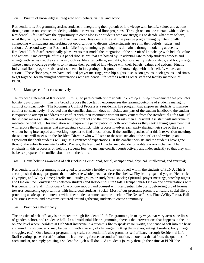#### 12= Pursuit of knowledge is integrated with beliefs, values, and action

Residential Life Programming assists students in integrating their pursuit of knowledge with beliefs, values and actions through one on one contact, modeling within our events, and floor programs. Through one on one contact with students, Residential Life Staff have the opportunity to come alongside students who are struggling to decide what they believe, what they value, and how they will live their lives. Residential life staff use passive programming by intentionally connecting with students and seeking out opportunities to discuss where students are at in their beliefs, values, and actions. A second way that Residential Life Programming is pursuing this domain is through modeling at events. Residential Life Staff intentionally plans events that model the integration of the pursuit of knowledge with beliefs, values and actions. One example of this is panel discussions that are hosted by Residential Life to help students process and engage with issues that they are facing such as: life after college, sexuality, homosexuality, relationships, and body image. These panels encourage students to integrate their pursuit of knowledge with their beliefs, values and actions. Finally individual floor programs also assist students in integrating their pursuit of knowledge with their beliefs, values, and actions. These floor programs have included prayer meetings, worship nights, discussion groups, book groups, and times to get together for meaningful conversations with residential life staff as well as other staff and faculty members of PLNU.

#### 13= Manages conflict constructively

The purpose statement of Residential Life is, "to partner with our residents in creating a living environment that promotes holistic development." This is a broad purpose that certainly encompasses the learning outcome of students managing conflict constructively. The Roommate Conflict Process is a residential life program that empowers students to manage conflict constructively. Provided that the conflict situation does not violate any part of the student handbook, the student is required to attempt to address the conflict with their roommate without involvement from the Residential Life Staff. If the student makes an attempt at resolving the conflict and the problem persists then a Resident Assistant will intervene to mediate the conflict. This mediation will require the participation of both roommates as they seek a living agreement that will resolve the differences that are causing a conflict. This process involves each party sharing their side of the story without being interrupted and working together to find a resolution. If the conflict persists after this intervention meeting, the students will meet with the Resident Director who will listen to the students about the conflict and write up an agreement that both students will sign as a contract of expectations. If the conflict persists and the students have gone through the entire Roommate Conflict Process, the Resident Director may decide to facilitate a room change. The emphasis in this process is on helping students learn to manage conflict constructively and independently so that they will be better prepared for conflict situations in the future.

#### 14= Gains holistic awareness of self (including emotional, social, occupational, physical, intellectual, and spiritual)

Residential Life Programming is designed to promote a healthy awareness of self within the students of PLNU. This is accomplished through programs that involve the whole person as described below: Physical- yoga and yogurt, Hendricks Olympics, and Wiley Games; Intellectual- study groups or study break snacks; Spiritual- prayer meetings, worship nights, and One on One Conversations between students and Residential Life Staff; Occupational- One on one conversations with Residential Life Staff; Emotional- One on one support and counsel with Residential Life Staff, debriefing broad forums towards counseling opportunities with individual students; Social- Most of our programs promote a healthy social life by providing a safe space to interact with other students; some examples include The Nease Fiesta, Finch/Wiley Fiesta, Hall Christmas Parties, and programs centered around gathering students to create community.

#### 15= Practices self-efficacy

The practice of self-efficacy is promoted through Residential Life Programming in many ways that vary across the lines of gender, cohort, and residence hall. In all residential life programming there is the interventions that happens at the one on one level where Residential Life Staff intervene in a student's life to speak value, worth, and sense of self into the heart and mind if a student who may be dealing with a variety of challenges (cutting themselves, eating disorders, body image struggles, etc.). On a broader programming scale, residential life also promotes self efficacy through Residential Life Staff creating spaces for affirmation, be it a meeting focused around affirmation, a note box that affirms the qualities of each student, or simply praising a student for a job well done. As students journey through their time at PLNU the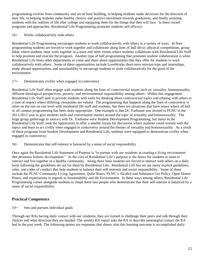programming evolves from community and social base building, to helping students make decisions for the direction of their life, to helping students make healthy choices and positive movement towards graduation, and finally assisting students with the realities of life after college and equipping them for the things that they will face. In these varied programs and approaches, Residential Life Programming promotes students self efficacy.

16= Works collaboratively with others

Residential Life Programming encourages students to work collaboratively with others in a variety of ways. In floor programming students are forced to work together and collaborate along lines of hall décor, physical competitions, group hikes where students must work together as a team and other events where students collaborate with Residential Life Staff to help promote and execute the program. Another type of hall programming that promotes student collaboration is when Residential Life hosts other departments to come and share about opportunities that they offer for students to work collaboratively with others. Some of these opportunities include LoveWorks short-term mission trips and internships, study abroad opportunities, and sustainability to encourage students to work collaboratively for the good of the environment.

#### 17= Demonstrates civility when engaged in controversy

Residential Life Staff often engage with students along the lines of controversial issues such as: sexuality, homosexuality, different theological perspectives, poverty, and environmental responsibility among others. Within this engagement Residential Life Staff seek to provide students with tools for thinking about controversial topics and relating with others in a tone of respect where differing viewpoints are valued. The programming that happens along the lines of controversy is often on the one on one level with residential life staff and students, but there are situations that have arisen where all hall or all campus programming has been more appropriate. One example is that Dr. Yarhouse was invited to PLNU in the 2011/2012 year to give students tools and conversation starters around the topic of sexuality and homosexuality. The large group gatherings to interact with Dr. Yarhouse were Student Development Programming, but many in the Residential Life Staff, took the opportunity to offer a smaller forum for discussion where students could wrestle with the topics and learn to act civilly when engaged in controversy around the themes of sexuality and homosexuality. As a result of these programs from Student Development and Residential Life, students were equipped to demonstrate civility when engaged in controversy.

#### 18= Demonstrates that self-interest is balanced by a sense of social responsibility

Once again the Residential Life Statement of Purpose is "to partner with our residents in creating a living environment that promotes holistic development." At the core of Residential Life's purpose is the desire for students to learn to interact and live together in a healthy community. Along these lines students are forced to interact with others on a daily basis following the guidelines set out for them by Residential Life. Residential Life has set out many explicit guidelines, rules, and codes of conduct that help students to balance their self interests and social responsibility. Some of these include the PLNU Community Living Agreement, Quite Hours, PLNU's Alcohol and Substance Use Policy, Open House Hours, and expectations in regards to Sustainability and the Environment. In these ways among others, Residential Life Programming comes alongside students to shape them into people who demonstrate that their self-interest is balanced by a sense of social responsibility.

# **Practical Competence**

19= Sets and pursues individual goals

Through our RAs having daily contact with our residents, they are trained to challenge their peers and talk through their choices and what direction they are headed. The weekly RA report asks the RA to describe meaningful contact the RA had in the past week. The following quotes are responses that shows who this learning outcome is accomplished daily: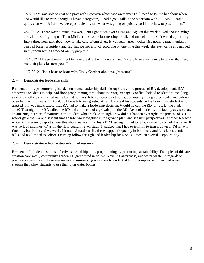3/2/2012 "I was able to chat and pray with Bronwyn which was awesome! I still need to talk to her about where she would like to work though (I haven't forgotten). I had a good talk in the bathroom with Jill. Also, I had a quick chat with Bri and we were just able to share what was going on quickly so I know how to pray for her."

2/20/2012 "There wasn't much this week, but I got to visit with Elise and Alyson this week talked about nursing and all the stuff going on. Then Michal came to me just needing to talk and unload a little so it ended up turning into a three hour talk about how to take care of ourselves. It was really great. Otherwise nothing much, unless I can call Kasey a resident and say that we had a lot of good one on one time this week, she even came and napped in my room while I worked on my project."

2/8/2012 "This past week, I got to have breakfast with Kirtstyn and Masey. It was really nice to talk to them and see their plans for next year. "

11/7/2012 "Had a heart to heart with Emily Gardner about weight issues"

22= Demonstrates leadership skills

Residential Life programming has demonstrated leadership skills through the entire process of RA development. RA's empowers residents to help lead floor programming throughout the year, managed conflict, helped residents come along side one another, and carried out rules and policies. RA's enforce quiet hours, community living agreements, and enforce open hall visiting hours. In April, 2012 one RA was greeted at 1am by one if his students on his floor. That student who greeted him was intoxicated. That RA had to make a leadership decision. Would he call the RD, or just let the student slide? That night, the RA called the RD and at the end of a growth plan the RD, Dean of students, and faculty advisor, saw an amazing increase of maturity in the student who drank. Although grow did not happen overnight, the process of 3-4 weeks gave the RA and student time to talk, work together in the growth plan, and see new perspectives. Another RA who writes in his weekly report shares this about leadership to his RD: "Last night I had to tell Cameron to turn off his radio. It was so loud and most of us on the floor couldn't even study. It sucked that I had to tell him to turn it down or I'd have to fine him, but in the end we worked it out." Situations like these happen frequently in both male and female residential halls and not limited to cohort. Learning follow through and leadership for RAs is almost an everyday opportunity.

#### 23= Demonstrates effective stewardship of resources

Residential Life demonstrates effective stewardship in its programming by promoting sustainability. Examples of this are creation care week, community gardening, green fund initiative, recycling awareness, and water waste. In regards to practice a stewardship of our resources and minimizing waste, each residential hall is equipped with purified water stations that allow students to use their own water bottles.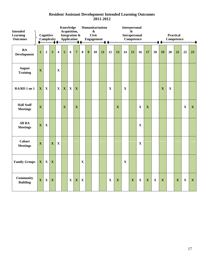### **Resident Assistant Development Intended Learning Outcomes 2011-2012**

| <b>Intended</b>                      |              | Knowledge<br>Humanitarianism<br><b>Interpersonal</b><br>Acquisition,<br>$\boldsymbol{\&}$<br>$\mathbf{\&}$ |              |                         |                         |             |                         |              |                  |                   |    |             |             |             |                      |             |                         |             |                   |                  |             |              |              |
|--------------------------------------|--------------|------------------------------------------------------------------------------------------------------------|--------------|-------------------------|-------------------------|-------------|-------------------------|--------------|------------------|-------------------|----|-------------|-------------|-------------|----------------------|-------------|-------------------------|-------------|-------------------|------------------|-------------|--------------|--------------|
| <b>Learning</b>                      |              | Cognitive                                                                                                  |              |                         | Integration &           |             |                         |              |                  | <b>Civic</b>      |    |             |             |             | <b>Intrapersonal</b> |             |                         |             |                   | <b>Practical</b> |             |              |              |
| <b>Outcomes</b>                      |              | Complexity                                                                                                 |              |                         | <b>Application</b>      |             |                         |              |                  | <b>Engagement</b> |    |             |             |             | <b>Competence</b>    |             |                         |             | <b>Competence</b> |                  |             |              |              |
|                                      |              |                                                                                                            |              |                         |                         |             |                         |              |                  |                   |    |             |             |             |                      |             |                         |             |                   |                  |             |              |              |
| RA<br><b>Development</b>             | $\mathbf{1}$ | $\overline{2}$                                                                                             | 3            | $\overline{\mathbf{4}}$ | 5                       | 6           | $\overline{7}$          | $\bf{8}$     | $\boldsymbol{9}$ | 10                | 11 | 12          | 13          | 14          | 15                   | 16          | 17                      | 18          | 19                | 20               | 21          | 22           | 23           |
| <b>August</b><br><b>Training</b>     | $\mathbf X$  |                                                                                                            |              | $\mathbf X$             |                         |             |                         |              |                  |                   |    |             |             |             |                      |             |                         |             |                   |                  |             |              |              |
| RA/RD 1 on 1                         | $\mathbf{X}$ | X                                                                                                          |              | $\mathbf X$             | $\mathbf X$             | $\mathbf X$ | $\mathbf X$             |              |                  |                   |    | $\mathbf X$ |             | $\mathbf X$ |                      |             |                         |             | $\mathbf X$       | $\mathbf X$      |             |              |              |
| <b>Hall Staff</b><br><b>Meetings</b> | $\mathbf X$  |                                                                                                            |              |                         | $\overline{\mathbf{X}}$ |             | $\overline{\mathbf{X}}$ |              |                  |                   |    |             | $\mathbf X$ |             |                      | $\mathbf X$ | $\mathbf X$             |             |                   |                  |             | $\mathbf X$  | $\mathbf{X}$ |
| All RA<br><b>Meetings</b>            | $\mathbf X$  | $\mathbf{X}$                                                                                               |              |                         |                         |             |                         |              |                  |                   |    |             |             |             |                      | $\mathbf X$ |                         |             |                   |                  |             |              |              |
| <b>Cohort</b><br><b>Meetings</b>     | $\mathbf{X}$ |                                                                                                            | $\mathbf X$  | $\mathbf X$             |                         |             |                         |              |                  |                   |    |             |             |             |                      | $\mathbf X$ |                         |             |                   |                  |             |              |              |
| <b>Family Groups</b>                 | $\mathbf X$  | X                                                                                                          | X            |                         |                         |             |                         | $\mathbf X$  |                  |                   |    |             |             | $\mathbf X$ |                      |             |                         |             |                   |                  |             |              |              |
| <b>Community</b><br><b>Building</b>  | $\mathbf{X}$ | $\mathbf X$                                                                                                | $\mathbf{X}$ |                         |                         | $\mathbf X$ | $\mathbf X$             | $\mathbf{X}$ |                  |                   |    | $\mathbf X$ | $\mathbf X$ |             | $\mathbf{X}$         | $\mathbf X$ | $\overline{\mathbf{X}}$ | $\mathbf X$ | $\mathbf X$       |                  | $\mathbf X$ | $\mathbf{X}$ | $\mathbf{X}$ |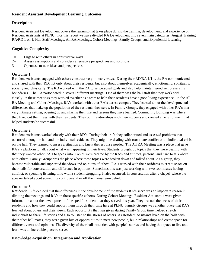### **Resident Assistant Development Learning Outcomes**

#### **Description**

Resident Assistant Development covers the learning that takes place during the training, development, and experience of Resident Assistants at PLNU. For this report we have divided RA Development into seven main categories: August Training, RA/RD 1 on 1, Hall Staff Meetings, All RA Meetings, Cohort Meetings, Family Groups, and Experiential Learning.

# **Cognitive Complexity**

- $1=$  Engage with others in constructive ways
- 2= Assess assumptions and considers alternative perspectives and solutions
- 3= Openness to new ideas and perspectives

#### **Outcome 1**

Resident Assistants engaged with others constructively in many ways. During their RD/RA 1/1's, the RA communicated and shared with their RD, not only about their residents, but also about themselves academically, emotionally, spiritually, socially and physically. The RD worked with the RA to set personal goals and also help maintain good self preserving boundaries. The RA participated in several different meetings. One of them was the hall staff that they work with closely. In these meetings they worked together as a team to help their residents have a good living experience. In the All RA Meeting and Cohort Meetings, RA's worked with other RA's across campus. They learned about the developmental differences that make up the population of the residents they serve. In Family Groups, they engaged with other RA's in a very intimate setting, opening up and sharing their life and lessons they have learned. Community Building was where they lived out their lives with their residents. They built relationships with their students and created an environment that helped students be successful.

### **Outcome 2**

Resident Assistants worked closely with their RD's. During their 1/1's they collaborated and assessed problems that occurred among the hall and the individual residents. They might be dealing with roommate conflict or an individual crisis on the hall. They learned to assess a situation and knew the response needed. The All RA Meeting was a place that gave RA's a platform to talk about what was happening in their lives. Students brought up topics that they were dealing with that they wanted other RA's to speak into. Topics were created by the RA's and at times, personal and hard to talk about with others. Family Groups was the place where these topics were broken down and talked about. As a group, they became vulnerable and supported the views and opinions of others. RA's worked with their residents to create space on their halls for conversation and difference in opinions. Sometimes this was just working with two roommates having conflict, or spending listening time with a student struggling. It also occurred, in conversation after a chapel, where the speaker talked about something controversial or off the mainstream belief.

#### **Outcome 3**

Residential Life decided that the differences in the development of the students RA's serve was an important reason in dividing the meetings and RA's in these specific cohorts. During Cohort Meetings, Resident Assistant's were given information about the development of the specific student that they served this year. They learned the needs of their residents and how they could support them through their time here at PLNU. Family Groups was another place that RA's learned about others and their views. Each opportunity that was given during Family Group time, helped stretch individuals to share life stories and also to listen to the stories of others. As Resident Assistants lived on the halls with their other hall mates, they were given lots of opportunities to meet new people, build relationships and create space for different views and opinions. The diversity of their halls was rich with people's stories and having this space to live and learn was an incredible place to serve.

# **Knowledge Acquisition, Integration and Application**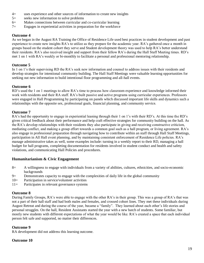- 4= uses experience and other sources of information to create new insights
- 5= seeks new information to solve problems
- 6= Makes connections between curricular and co-curricular learning
- 7= Engages in experiential activities in preparation for the workforce

# **Outcome 4**

As we began in the August RA Training the Office of Residence Life used best practices in student development and past experience to create new insights RA's to utilize as they prepare for the academic year. RA's gathered once a month in groups based on the student cohort they serve and Student development theory was used to help RA's better understand their residents. RA's also received insight and support from their fellow RA's during the Hall Staff Meeting times. RD's met 1 on 1 with RA's weekly or bi-monthly to facilitate a personal and professional mentoring relationship.

# **Outcome 5**

In 1 on 1's their supervising RD the RA's seek new information and counsel to address issues with their residents and develop strategies for intentional community building. The Hall Staff Meetings were valuable learning opportunities for seeking out new information to build intentional floor programming and all-hall events.

# **Outcome 6**

RD's used the 1 on 1 meetings to allow RA's time to process how classroom experience and knowledge informed their work with residents and their RA staff. RA's built passive and active programs using curricular experiences. Professors were engaged in Hall Programming by participating on panels which discussed important life skills and dynamics such a relationships with the opposite sex, professional goals, financial planning, and community service.

# **Outcome 7**

RA's had the opportunity to engage in experiential leaning through their 1 on 1's with their RD's. At this time the RD's given critical feedback about their performance and help craft effective strategies for community building on the hall. As the RA's develop relationships with their residents they also participate in giving and receiving constructive criticism, mediating conflict, and making a group effort towards a common goal such as a hall program, or living agreement. RA's also engage in professional preparation through navigating how to contribute within an staff through Hall Staff Meetings, participation in All Hall event planning, and by maintaining consistent enforcement of Residence Life policies. RA's manage administrative takes as well, some examples include: turning in a weekly report to their RD, managing a hall budget for hall programs, completing documentation for residents involved in student conduct and health and safety violations, and communicating Hall Policies and procedures.

# **Humanitarianism & Civic Engagement**

- 8= A willingness to engage with individuals from a variety of abilities, cultures, ethnicities, and socio-economic backgrounds
- 9= Demonstrates capacity to engage with the complexities of daily life in the global community
- 10= Participation in service/volunteer activities
- 11= Participates in relevant governance systems

#### **Outcome 8**

During Family Groups, RA's were able to engage with the other RA's in their group. This was a group of RA's that was not a part of their hall staff and had both males and females, and crossed cohort lines. They met these individuals during August Retreat and during the course of the year, became a "family". They learned about each other's life stories and personal struggles. On the hall, Resident Assistants started the year with a new batch of students. Some familiar, but mostly new students with different expectations of what the year would be like. RA's created a space that each individual person felt safe and supported, no matter their differences.

#### **Outcome 9**

RA development did not address this learning outcome.

#### **Outcome 10**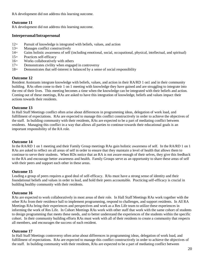RA development did not address this learning outcome.

#### **Outcome 11**

RA development did not address this learning outcome.

#### **Interpersonal/Intrapersonal**

- 12= Pursuit of knowledge is integrated with beliefs, values, and action
- 13= Manages conflict constructively
- 14= Gains holistic awareness of self (including emotional, social, occupational, physical, intellectual, and spiritual)
- 15= Practices self-efficacy
- 16= Works collaboratively with others
- 17= Demonstrates civility when engaged in controversy
- 18= Demonstrates that self-interest is balanced by a sense of social responsibility

#### **Outcome 12**

Resident Assistants integrate knowledge with beliefs, values, and action in their RA/RD 1 on1 and in their community building. RAs often come to their 1 on 1 meeting with knowledge they have gained and are struggling to integrate into the rest of their lives. This meeting becomes a time when the knowledge can be integrated with their beliefs and action. Coming out of these meetings, RAs are asked to have this integration of knowledge, beliefs and values impact their actions towards their residents.

#### **Outcome 13**

In Hall Staff Meetings conflict often arise about differences in programming ideas, delegation of work load, and fulfillment of expectations. RAs are expected to manage this conflict constructively in order to achieve the objectives of the staff. In building community with their residents, RAs are expected to be a part of mediating conflict between residents. Managing this conflict in a way that allows all parties to continue towards their educational goals is an important responsibility of the RA role.

# **Outcome 14**

In the RA/RD 1 on 1 meeting and their Family Group meetings RAs gain holistic awareness of self. In the RA/RD 1 on 1 RAs are asked to reflect on all areas of self in order to ensure that they maintain a level of health that allows them to continue to serve their students. When RDs notice that an RA is not aware enough of their selves, they give this feedback to the RA and encourage better awareness and health. Family Groups serve as an opportunity to share these areas of self with their peers and support each other in these areas.

# **Outcome 15**

Leading a group of peers requires a good deal of self-efficacy. RAs must have a strong sense of identity and their foundational beliefs and values in order to lead, and hold their peers accountable. Practicing self-efficacy is crucial in building healthy community with their residents.

#### **Outcome 16**

RAs are expected to work collaboratively in most areas of their role. In Hall Staff Meetings RAs work together with the other RAs from their residence hall to implement programming, respond to challenges, and support residents. In All RA Meetings RAs bring their experiences and perspectives and work as a Res Life team to utilize these experiences in informing the work of Res Life. In Cohort Meetings RAs work with other staff that work with the same cohort of students to design programming that meets these needs, and to better understand the experiences of the students within the specific cohort. In their community building efforts RAs must work with all of their residents to create a community that respects all members, and encourages the success of each resident.

#### **Outcome 17**

In Hall Staff Meetings controversy often arise about differences in programming ideas, delegation of work load, and fulfillment of expectations. RAs are expected to manage this conflict constructively in order to achieve the objectives of the staff. In building community with their residents, RAs are expected to be a part of mediating conflict between